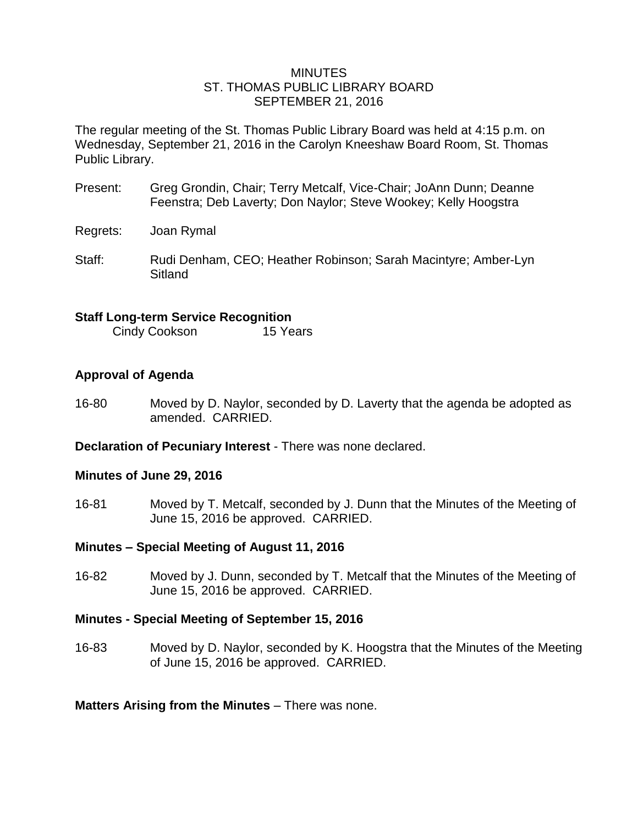#### MINUTES ST. THOMAS PUBLIC LIBRARY BOARD SEPTEMBER 21, 2016

The regular meeting of the St. Thomas Public Library Board was held at 4:15 p.m. on Wednesday, September 21, 2016 in the Carolyn Kneeshaw Board Room, St. Thomas Public Library.

- Present: Greg Grondin, Chair; Terry Metcalf, Vice-Chair; JoAnn Dunn; Deanne Feenstra; Deb Laverty; Don Naylor; Steve Wookey; Kelly Hoogstra
- Regrets: Joan Rymal
- Staff: Rudi Denham, CEO; Heather Robinson; Sarah Macintyre; Amber-Lyn Sitland

# **Staff Long-term Service Recognition**

Cindy Cookson 15 Years

# **Approval of Agenda**

16-80 Moved by D. Naylor, seconded by D. Laverty that the agenda be adopted as amended. CARRIED.

**Declaration of Pecuniary Interest** - There was none declared.

# **Minutes of June 29, 2016**

16-81 Moved by T. Metcalf, seconded by J. Dunn that the Minutes of the Meeting of June 15, 2016 be approved. CARRIED.

# **Minutes – Special Meeting of August 11, 2016**

16-82 Moved by J. Dunn, seconded by T. Metcalf that the Minutes of the Meeting of June 15, 2016 be approved. CARRIED.

# **Minutes - Special Meeting of September 15, 2016**

16-83 Moved by D. Naylor, seconded by K. Hoogstra that the Minutes of the Meeting of June 15, 2016 be approved. CARRIED.

**Matters Arising from the Minutes** – There was none.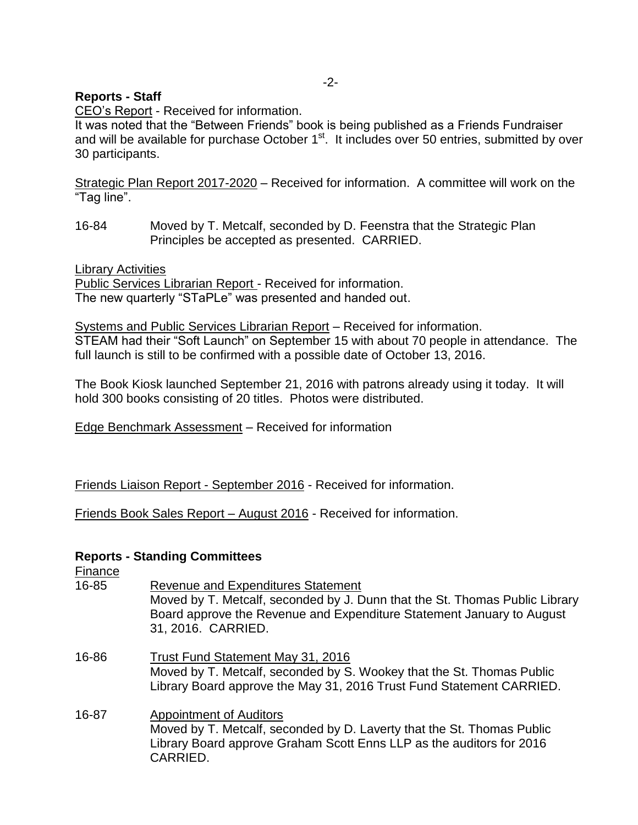# **Reports - Staff**

CEO's Report - Received for information.

It was noted that the "Between Friends" book is being published as a Friends Fundraiser and will be available for purchase October 1<sup>st</sup>. It includes over 50 entries, submitted by over 30 participants.

Strategic Plan Report 2017-2020 – Received for information. A committee will work on the "Tag line".

16-84 Moved by T. Metcalf, seconded by D. Feenstra that the Strategic Plan Principles be accepted as presented. CARRIED.

Library Activities

Public Services Librarian Report - Received for information. The new quarterly "STaPLe" was presented and handed out.

Systems and Public Services Librarian Report – Received for information. STEAM had their "Soft Launch" on September 15 with about 70 people in attendance. The full launch is still to be confirmed with a possible date of October 13, 2016.

The Book Kiosk launched September 21, 2016 with patrons already using it today. It will hold 300 books consisting of 20 titles. Photos were distributed.

Edge Benchmark Assessment – Received for information

Friends Liaison Report - September 2016 - Received for information.

Friends Book Sales Report – August 2016 - Received for information.

# **Reports - Standing Committees**

Finance

- 16-85 Revenue and Expenditures Statement Moved by T. Metcalf, seconded by J. Dunn that the St. Thomas Public Library Board approve the Revenue and Expenditure Statement January to August 31, 2016. CARRIED. 16-86 Trust Fund Statement May 31, 2016
- Moved by T. Metcalf, seconded by S. Wookey that the St. Thomas Public Library Board approve the May 31, 2016 Trust Fund Statement CARRIED.
- 16-87 Appointment of Auditors Moved by T. Metcalf, seconded by D. Laverty that the St. Thomas Public Library Board approve Graham Scott Enns LLP as the auditors for 2016 CARRIED.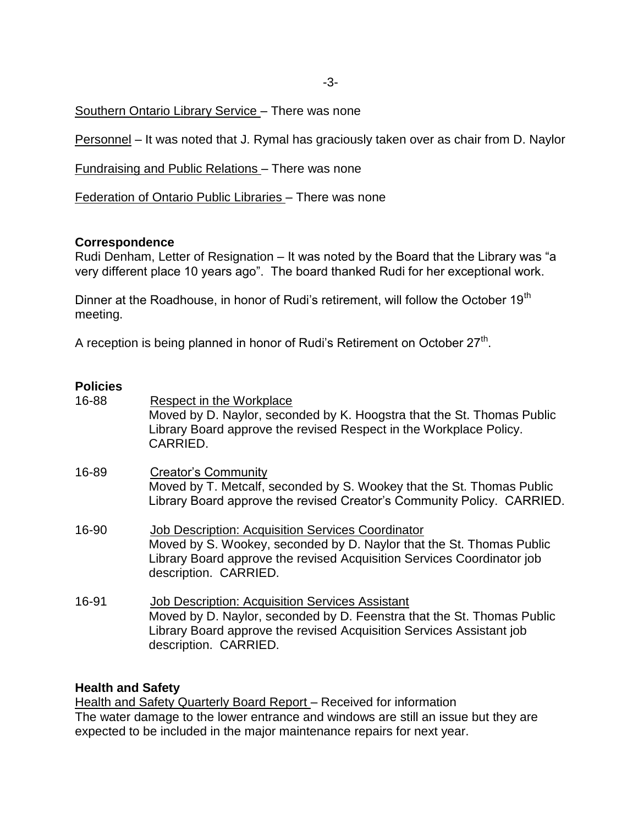Southern Ontario Library Service – There was none

Personnel – It was noted that J. Rymal has graciously taken over as chair from D. Naylor

Fundraising and Public Relations – There was none

Federation of Ontario Public Libraries – There was none

#### **Correspondence**

Rudi Denham, Letter of Resignation – It was noted by the Board that the Library was "a very different place 10 years ago". The board thanked Rudi for her exceptional work.

Dinner at the Roadhouse, in honor of Rudi's retirement, will follow the October 19<sup>th</sup> meeting.

A reception is being planned in honor of Rudi's Retirement on October 27<sup>th</sup>.

# **Policies**

| 16-88 | Respect in the Workplace<br>Moved by D. Naylor, seconded by K. Hoogstra that the St. Thomas Public<br>Library Board approve the revised Respect in the Workplace Policy.<br>CARRIED.                                                |
|-------|-------------------------------------------------------------------------------------------------------------------------------------------------------------------------------------------------------------------------------------|
| 16-89 | <b>Creator's Community</b><br>Moved by T. Metcalf, seconded by S. Wookey that the St. Thomas Public<br>Library Board approve the revised Creator's Community Policy. CARRIED.                                                       |
| 16-90 | <b>Job Description: Acquisition Services Coordinator</b><br>Moved by S. Wookey, seconded by D. Naylor that the St. Thomas Public<br>Library Board approve the revised Acquisition Services Coordinator job<br>description. CARRIED. |
| 16-91 | <b>Job Description: Acquisition Services Assistant</b><br>Moved by D. Naylor, seconded by D. Feenstra that the St. Thomas Public<br>Library Board approve the revised Acquisition Services Assistant job<br>description. CARRIED.   |

#### **Health and Safety**

Health and Safety Quarterly Board Report - Received for information The water damage to the lower entrance and windows are still an issue but they are expected to be included in the major maintenance repairs for next year.